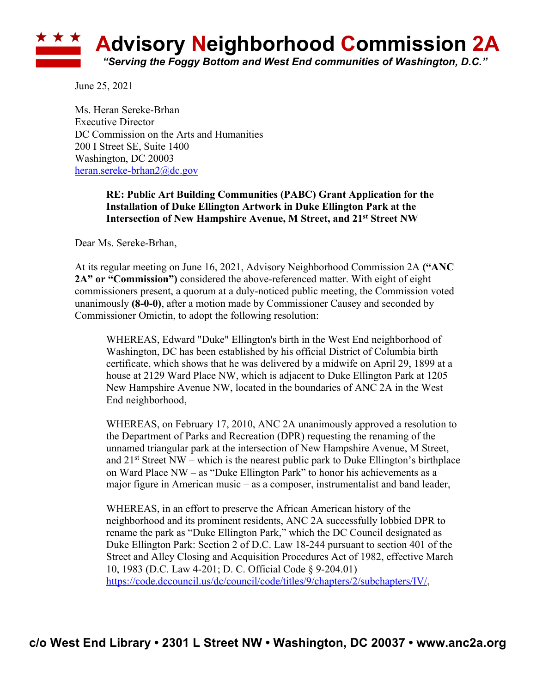

June 25, 2021

Ms. Heran Sereke-Brhan Executive Director DC Commission on the Arts and Humanities 200 I Street SE, Suite 1400 Washington, DC 20003 heran.sereke-brhan2@dc.gov

## **RE: Public Art Building Communities (PABC) Grant Application for the Installation of Duke Ellington Artwork in Duke Ellington Park at the Intersection of New Hampshire Avenue, M Street, and 21st Street NW**

Dear Ms. Sereke-Brhan,

At its regular meeting on June 16, 2021, Advisory Neighborhood Commission 2A **("ANC 2A" or "Commission")** considered the above-referenced matter. With eight of eight commissioners present, a quorum at a duly-noticed public meeting, the Commission voted unanimously **(8-0-0)**, after a motion made by Commissioner Causey and seconded by Commissioner Omictin, to adopt the following resolution:

WHEREAS, Edward "Duke" Ellington's birth in the West End neighborhood of Washington, DC has been established by his official District of Columbia birth certificate, which shows that he was delivered by a midwife on April 29, 1899 at a house at 2129 Ward Place NW, which is adjacent to Duke Ellington Park at 1205 New Hampshire Avenue NW, located in the boundaries of ANC 2A in the West End neighborhood,

WHEREAS, on February 17, 2010, ANC 2A unanimously approved a resolution to the Department of Parks and Recreation (DPR) requesting the renaming of the unnamed triangular park at the intersection of New Hampshire Avenue, M Street, and  $21<sup>st</sup>$  Street NW – which is the nearest public park to Duke Ellington's birthplace on Ward Place NW – as "Duke Ellington Park" to honor his achievements as a major figure in American music – as a composer, instrumentalist and band leader,

WHEREAS, in an effort to preserve the African American history of the neighborhood and its prominent residents, ANC 2A successfully lobbied DPR to rename the park as "Duke Ellington Park," which the DC Council designated as Duke Ellington Park: Section 2 of D.C. Law 18-244 pursuant to section 401 of the Street and Alley Closing and Acquisition Procedures Act of 1982, effective March 10, 1983 (D.C. Law 4-201; D. C. Official Code § 9-204.01) https://code.dccouncil.us/dc/council/code/titles/9/chapters/2/subchapters/IV/,